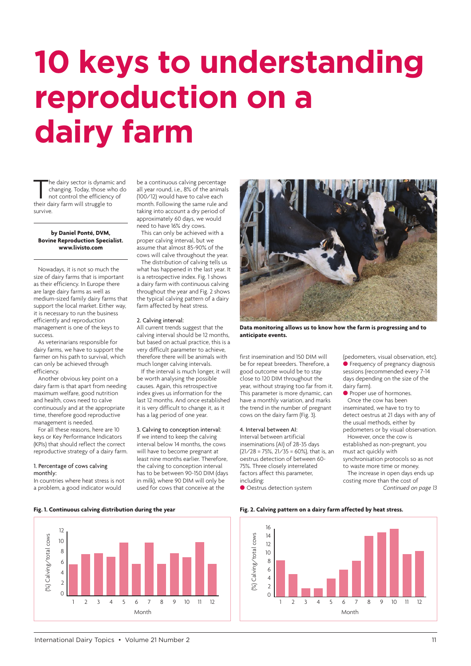# **10 keys to understanding reproduction on a dairy farm**

The dairy sector is dynamic and<br>changing. Today, those who do<br>not control the efficiency of<br>their dairy farm will struggle to changing. Today, those who do their dairy farm will struggle to survive.

#### **by Daniel Ponté, DVM, Bovine Reproduction Specialist. www.livisto.com**

Nowadays, it is not so much the size of dairy farms that is important as their e[fficiency. In Europe](http://www.livisto.com) there are large dairy farms as well as medium-sized family dairy farms that support the local market. Either way, it is necessary to run the business efficiently and reproduction management is one of the keys to success.

As veterinarians responsible for dairy farms, we have to support the farmer on his path to survival, which can only be achieved through efficiency.

Another obvious key point on a dairy farm is that apart from needing maximum welfare, good nutrition and health, cows need to calve continuously and at the appropriate time, therefore good reproductive management is needed.

For all these reasons, here are 10 keys or Key Performance Indicators (KPIs) that should reflect the correct reproductive strategy of a dairy farm.

#### 1. Percentage of cows calving monthly:

In countries where heat stress is not a problem, a good indicator would

be a continuous calving percentage all year round, i.e., 8% of the animals (100/12) would have to calve each month. Following the same rule and taking into account a dry period of approximately 60 days, we would need to have 16% dry cows. This can only be achieved with a proper calving interval, but we assume that almost 85-90% of the cows will calve throughout the year. The distribution of calving tells us what has happened in the last year. It is a retrospective index. Fig. 1 shows a dairy farm with continuous calving throughout the year and Fig. 2 shows the typical calving pattern of a dairy farm affected by heat stress.

## 2. Calving interval:

All current trends suggest that the calving interval should be 12 months, but based on actual practice, this is a very difficult parameter to achieve, therefore there will be animals with much longer calving intervals.

If the interval is much longer, it will be worth analysing the possible causes. Again, this retrospective index gives us information for the last 12 months. And once established it is very difficult to change it, as it has a lag period of one year.

## 3. Calving to conception interval:

If we intend to keep the calving interval below 14 months, the cows will have to become pregnant at least nine months earlier. Therefore, the calving to conception interval has to be between 90-150 DIM (days in milk), where 90 DIM will only be used for cows that conceive at the



**Data monitoring allows us to know how the farm is progressing and to anticipate events.**

first insemination and 150 DIM will be for repeat breeders. Therefore, a good outcome would be to stay close to 120 DIM throughout the year, without straying too far from it. This parameter is more dynamic, can have a monthly variation, and marks the trend in the number of pregnant cows on the dairy farm (Fig. 3).

#### 4. Interval between AI:

Interval between artificial inseminations (AI) of 28-35 days (21/28 = 75%, 21/35 = 60%), that is, an oestrus detection of between 60- 75%. Three closely interrelated factors affect this parameter, including: **O** Oestrus detection system

(pedometers, visual observation, etc). **•** Frequency of pregnancy diagnosis sessions (recommended every 7-14 days depending on the size of the dairy farm).

**•** Proper use of hormones. Once the cow has been inseminated, we have to try to detect oestrus at 21 days with any of the usual methods, either by pedometers or by visual observation. However, once the cow is

established as non-pregnant, you must act quickly with synchronisation protocols so as not to waste more time or money.

The increase in open days ends up costing more than the cost of *Continued on page 13*



**Fig. 1. Continuous calving distribution during the year Fig. 2. Calving pattern on a dairy farm affected by heat stress.**